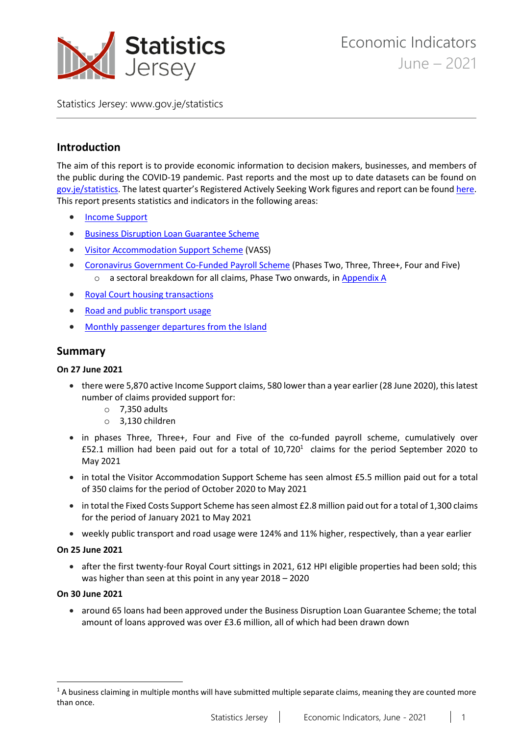

Statistics Jersey: [www.gov.je/statistics](https://www.gov.je/statistics)

# **Introduction**

The aim of this report is to provide economic information to decision makers, businesses, and members of the public during the COVID-19 pandemic. Past reports and the most up to date datasets can be found on [gov.je/statistics.](https://www.gov.je/Government/JerseyInFigures/BusinessEconomy/Pages/EconomicIndicators.aspx) The latest quarter's Registered Actively Seeking Work figures and report can be foun[d here.](https://www.gov.je/Government/JerseyInFigures/EmploymentEarnings/Pages/RegisteredUnemployment.aspx) This report presents statistics and indicators in the following areas:

- [Income Support](#page-1-0)
- **•** [Business Disruption Loan Guarantee Scheme](#page-2-0)
- [Visitor Accommodation Support Scheme](#page-2-1) (VASS)
- [Coronavirus Government Co-Funded Payroll Scheme](#page-2-2) (Phases Two, Three, Three+, Four and Five) o a sectoral breakdown for all claims, Phase Two onwards, i[n Appendix A](#page-9-0)
- [Royal Court housing transactions](#page-4-0)
- [Road and public transport usage](#page-5-0)
- [Monthly passenger departures from the Island](#page-7-0)

## **Summary**

#### **On 27 June 2021**

- there were 5,870 active Income Support claims, 580 lower than a year earlier (28 June 2020), this latest number of claims provided support for:
	- $\circ$  7,350 adults
	- o 3,130 children
- in phases Three, Three+, Four and Five of the co-funded payroll scheme, cumulatively over £52.1 million had been paid out for a total of  $10,720<sup>1</sup>$  claims for the period September 2020 to May 2021
- in total the Visitor Accommodation Support Scheme has seen almost £5.5 million paid out for a total of 350 claims for the period of October 2020 to May 2021
- in total the Fixed Costs Support Scheme has seen almost £2.8 million paid out for a total of 1,300 claims for the period of January 2021 to May 2021
- weekly public transport and road usage were 124% and 11% higher, respectively, than a year earlier

#### **On 25 June 2021**

• after the first twenty-four Royal Court sittings in 2021, 612 HPI eligible properties had been sold; this was higher than seen at this point in any year 2018 – 2020

#### **On 30 June 2021**

 $\ddot{\phantom{a}}$ 

• around 65 loans had been approved under the Business Disruption Loan Guarantee Scheme; the total amount of loans approved was over £3.6 million, all of which had been drawn down

<sup>&</sup>lt;sup>1</sup> A business claiming in multiple months will have submitted multiple separate claims, meaning they are counted more than once.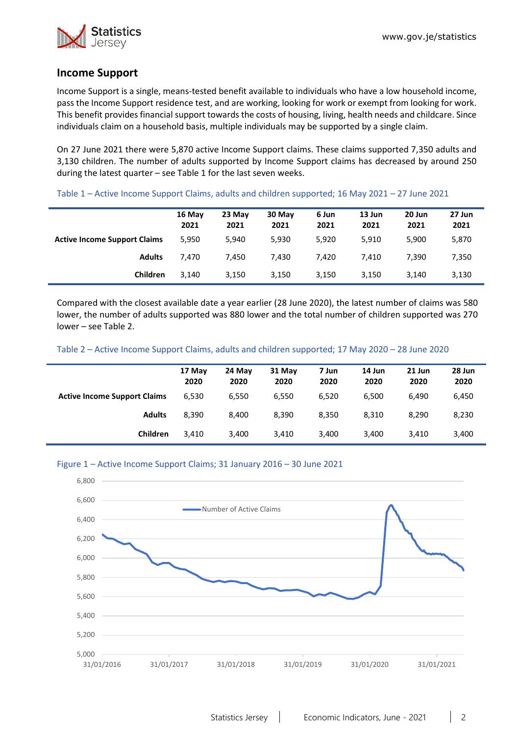

# <span id="page-1-0"></span>**Income Support**

Income Support is a single, means-tested benefit available to individuals who have a low household income, pass the Income Support residence test, and are working, looking for work or exempt from looking for work. This benefit provides financial support towards the costs of housing, living, health needs and childcare. Since individuals claim on a household basis, multiple individuals may be supported by a single claim.

On 27 June 2021 there were 5,870 active Income Support claims. These claims supported 7,350 adults and 3,130 children. The number of adults supported by Income Support claims has decreased by around 250 during the latest quarter – see Table 1 for the last seven weeks.

|                                     | 16 May<br>2021 | 23 May<br>2021 | 30 May<br>2021 | 6 Jun<br>2021 | 13 Jun<br>2021 | 20 Jun<br>2021 | 27 Jun<br>2021 |
|-------------------------------------|----------------|----------------|----------------|---------------|----------------|----------------|----------------|
| <b>Active Income Support Claims</b> | 5,950          | 5,940          | 5,930          | 5,920         | 5,910          | 5,900          | 5,870          |
| <b>Adults</b>                       | 7.470          | 7.450          | 7,430          | 7,420         | 7.410          | 7.390          | 7,350          |
| Children                            | 3.140          | 3,150          | 3,150          | 3,150         | 3,150          | 3,140          | 3,130          |

Table 1 – Active Income Support Claims, adults and children supported; 16 May 2021 – 27 June 2021

Compared with the closest available date a year earlier (28 June 2020), the latest number of claims was 580 lower, the number of adults supported was 880 lower and the total number of children supported was 270 lower – see Table 2.

Table 2 – Active Income Support Claims, adults and children supported; 17 May 2020 – 28 June 2020

|                                     | 17 May<br>2020 | 24 May<br>2020 | 31 May<br>2020 | 7 Jun<br>2020 | 14 Jun<br>2020 | 21 Jun<br>2020 | 28 Jun<br>2020 |
|-------------------------------------|----------------|----------------|----------------|---------------|----------------|----------------|----------------|
| <b>Active Income Support Claims</b> | 6.530          | 6.550          | 6.550          | 6,520         | 6,500          | 6.490          | 6,450          |
| <b>Adults</b>                       | 8.390          | 8.400          | 8,390          | 8,350         | 8,310          | 8.290          | 8,230          |
| <b>Children</b>                     | 3.410          | 3,400          | 3,410          | 3,400         | 3,400          | 3,410          | 3,400          |

#### Figure 1 – Active Income Support Claims; 31 January 2016 – 30 June 2021

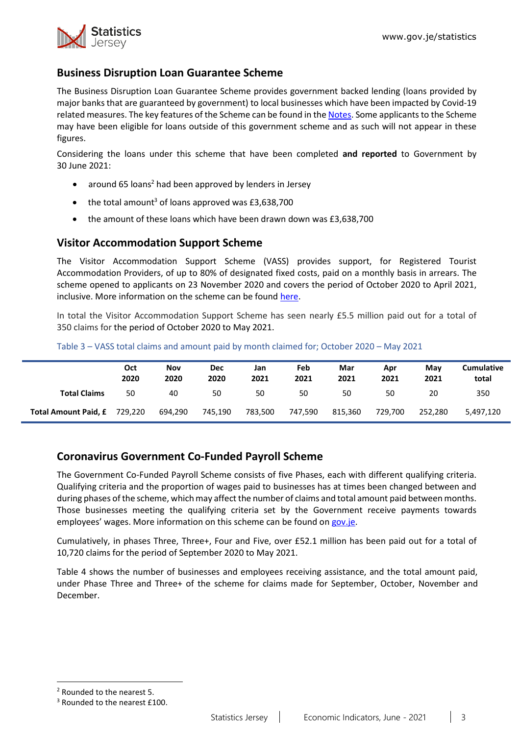

# <span id="page-2-0"></span>**Business Disruption Loan Guarantee Scheme**

The Business Disruption Loan Guarantee Scheme provides government backed lending (loans provided by major banks that are guaranteed by government) to local businesses which have been impacted by Covid-19 related measures. The key features of the Scheme can be found in the [Notes.](#page-8-0) Some applicants to the Scheme may have been eligible for loans outside of this government scheme and as such will not appear in these figures.

Considering the loans under this scheme that have been completed **and reported** to Government by 30 June 2021:

- around 65 loans<sup>2</sup> had been approved by lenders in Jersey
- $\bullet$  the total amount<sup>3</sup> of loans approved was £3,638,700
- the amount of these loans which have been drawn down was £3,638,700

## <span id="page-2-1"></span>**Visitor Accommodation Support Scheme**

The Visitor Accommodation Support Scheme (VASS) provides support, for Registered Tourist Accommodation Providers, of up to 80% of designated fixed costs, paid on a monthly basis in arrears. The scheme opened to applicants on 23 November 2020 and covers the period of October 2020 to April 2021, inclusive. More information on the scheme can be found [here.](https://www.gov.je/health/coronavirus/businessandemployment/pages/governmentsupportforbusinesses.aspx)

In total the Visitor Accommodation Support Scheme has seen nearly £5.5 million paid out for a total of 350 claims for the period of October 2020 to May 2021.

|                             | <b>Oct</b><br>2020 | <b>Nov</b><br>2020 | <b>Dec</b><br>2020 | Jan<br>2021 | Feb<br>2021 | Mar<br>2021 | Apr<br>2021 | Mav<br>2021 | Cumulative<br>total |
|-----------------------------|--------------------|--------------------|--------------------|-------------|-------------|-------------|-------------|-------------|---------------------|
| <b>Total Claims</b>         | 50                 | 40                 | 50                 | 50          | 50          | 50          | 50          | 20          | 350                 |
| <b>Total Amount Paid, £</b> | 729.220            | 694.290            | 745.190            | 783.500     | 747,590     | 815.360     | 729.700     | 252.280     | 5,497,120           |

Table 3 – VASS total claims and amount paid by month claimed for; October 2020 – May 2021

# <span id="page-2-2"></span>**Coronavirus Government Co-Funded Payroll Scheme**

The Government Co-Funded Payroll Scheme consists of five Phases, each with different qualifying criteria. Qualifying criteria and the proportion of wages paid to businesses has at times been changed between and during phases of the scheme, which may affect the number of claims and total amount paid between months. Those businesses meeting the qualifying criteria set by the Government receive payments towards employees' wages. More information on this scheme can be found on [gov.je.](https://www.gov.je/health/coronavirus/businessandemployment/pages/governmentsupportforbusinesses.aspx)

Cumulatively, in phases Three, Three+, Four and Five, over £52.1 million has been paid out for a total of 10,720 claims for the period of September 2020 to May 2021.

Table 4 shows the number of businesses and employees receiving assistance, and the total amount paid, under Phase Three and Three+ of the scheme for claims made for September, October, November and December.

 $\ddot{\phantom{a}}$ 

<sup>2</sup> Rounded to the nearest 5.

<sup>&</sup>lt;sup>3</sup> Rounded to the nearest £100.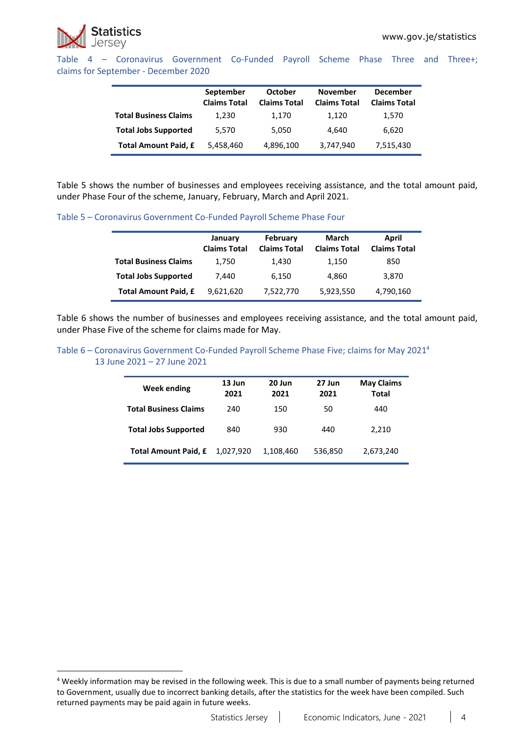

 $\overline{a}$ 

Table 4 – Coronavirus Government Co-Funded Payroll Scheme Phase Three and Three+; claims for September - December 2020

|                              | September<br><b>Claims Total</b> | October<br><b>Claims Total</b> | <b>November</b><br><b>Claims Total</b> | <b>December</b><br><b>Claims Total</b> |
|------------------------------|----------------------------------|--------------------------------|----------------------------------------|----------------------------------------|
| <b>Total Business Claims</b> | 1,230                            | 1,170                          | 1,120                                  | 1,570                                  |
| <b>Total Jobs Supported</b>  | 5.570                            | 5.050                          | 4.640                                  | 6,620                                  |
| Total Amount Paid, £         | 5,458,460                        | 4,896,100                      | 3,747,940                              | 7,515,430                              |

Table 5 shows the number of businesses and employees receiving assistance, and the total amount paid, under Phase Four of the scheme, January, February, March and April 2021.

Table 5 – Coronavirus Government Co-Funded Payroll Scheme Phase Four

|                              | January<br><b>Claims Total</b> | February<br><b>Claims Total</b> | March<br><b>Claims Total</b> | April<br><b>Claims Total</b> |
|------------------------------|--------------------------------|---------------------------------|------------------------------|------------------------------|
| <b>Total Business Claims</b> | 1,750                          | 1,430                           | 1,150                        | 850                          |
| <b>Total Jobs Supported</b>  | 7,440                          | 6.150                           | 4.860                        | 3,870                        |
| Total Amount Paid, £         | 9,621,620                      | 7,522,770                       | 5,923,550                    | 4,790,160                    |

Table 6 shows the number of businesses and employees receiving assistance, and the total amount paid, under Phase Five of the scheme for claims made for May.

Table 6 – Coronavirus Government Co-Funded Payroll Scheme Phase Five; claims for May 2021<sup>4</sup> 13 June 2021 – 27 June 2021

| Week ending                  | 13 Jun<br>2021 | 20 Jun<br>2021 | 27 Jun<br>2021 | <b>May Claims</b><br><b>Total</b> |
|------------------------------|----------------|----------------|----------------|-----------------------------------|
| <b>Total Business Claims</b> | 240            | 150            | 50             | 440                               |
| <b>Total Jobs Supported</b>  | 840            | 930            | 440            | 2,210                             |
| <b>Total Amount Paid, £</b>  | 1.027.920      | 1,108,460      | 536,850        | 2,673,240                         |

<sup>&</sup>lt;sup>4</sup> Weekly information may be revised in the following week. This is due to a small number of payments being returned to Government, usually due to incorrect banking details, after the statistics for the week have been compiled. Such returned payments may be paid again in future weeks.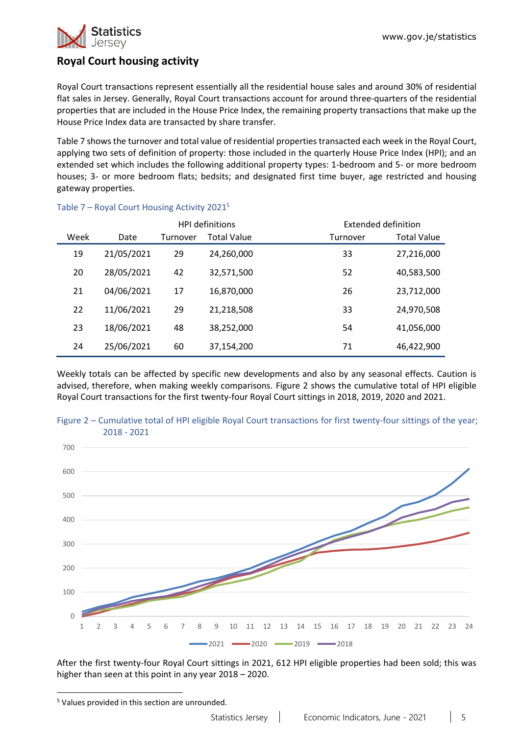

# <span id="page-4-0"></span>**Royal Court housing activity**

Royal Court transactions represent essentially all the residential house sales and around 30% of residential flat sales in Jersey. Generally, Royal Court transactions account for around three-quarters of the residential properties that are included in the House Price Index, the remaining property transactions that make up the House Price Index data are transacted by share transfer.

Table 7 shows the turnover and total value of residential properties transacted each week in the Royal Court, applying two sets of definition of property: those included in the quarterly House Price Index (HPI); and an extended set which includes the following additional property types: 1-bedroom and 5- or more bedroom houses; 3- or more bedroom flats; bedsits; and designated first time buyer, age restricted and housing gateway properties.

|      |            |          | HPI definitions    |          | Extended definition |
|------|------------|----------|--------------------|----------|---------------------|
| Week | Date       | Turnover | <b>Total Value</b> | Turnover | <b>Total Value</b>  |
| 19   | 21/05/2021 | 29       | 24,260,000         | 33       | 27,216,000          |
| 20   | 28/05/2021 | 42       | 32,571,500         | 52       | 40,583,500          |
| 21   | 04/06/2021 | 17       | 16,870,000         | 26       | 23,712,000          |
| 22   | 11/06/2021 | 29       | 21,218,508         | 33       | 24,970,508          |
| 23   | 18/06/2021 | 48       | 38,252,000         | 54       | 41,056,000          |
| 24   | 25/06/2021 | 60       | 37,154,200         | 71       | 46,422,900          |

### Table 7 - Royal Court Housing Activity 2021<sup>5</sup>

Weekly totals can be affected by specific new developments and also by any seasonal effects. Caution is advised, therefore, when making weekly comparisons. Figure 2 shows the cumulative total of HPI eligible Royal Court transactions for the first twenty-four Royal Court sittings in 2018, 2019, 2020 and 2021.



Figure 2 – Cumulative total of HPI eligible Royal Court transactions for first twenty-four sittings of the year; 2018 - 2021

After the first twenty-four Royal Court sittings in 2021, 612 HPI eligible properties had been sold; this was higher than seen at this point in any year 2018 – 2020.

 $\overline{a}$ 

<sup>&</sup>lt;sup>5</sup> Values provided in this section are unrounded.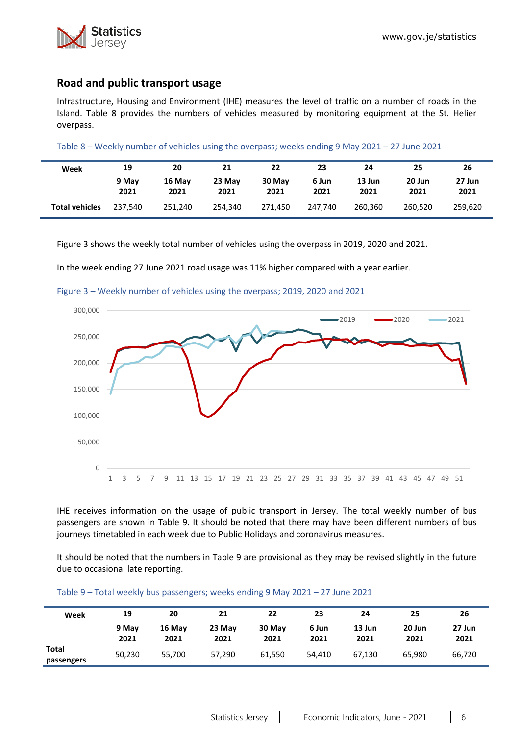

## <span id="page-5-0"></span>**Road and public transport usage**

Infrastructure, Housing and Environment (IHE) measures the level of traffic on a number of roads in the Island. Table 8 provides the numbers of vehicles measured by monitoring equipment at the St. Helier overpass.

Table 8 – Weekly number of vehicles using the overpass; weeks ending 9 May 2021 – 27 June 2021

| Week                  | 19            | 20             | 21             | 22             | 23            | 24             | 25             | 26             |
|-----------------------|---------------|----------------|----------------|----------------|---------------|----------------|----------------|----------------|
|                       | 9 May<br>2021 | 16 May<br>2021 | 23 May<br>2021 | 30 May<br>2021 | 6 Jun<br>2021 | 13 Jun<br>2021 | 20 Jun<br>2021 | 27 Jun<br>2021 |
| <b>Total vehicles</b> | 237.540       | 251.240        | 254.340        | 271.450        | 247.740       | 260.360        | 260.520        | 259.620        |

Figure 3 shows the weekly total number of vehicles using the overpass in 2019, 2020 and 2021.

In the week ending 27 June 2021 road usage was 11% higher compared with a year earlier.



Figure 3 – Weekly number of vehicles using the overpass; 2019, 2020 and 2021

IHE receives information on the usage of public transport in Jersey. The total weekly number of bus passengers are shown in Table 9. It should be noted that there may have been different numbers of bus journeys timetabled in each week due to Public Holidays and coronavirus measures.

It should be noted that the numbers in Table 9 are provisional as they may be revised slightly in the future due to occasional late reporting.

| Week                | 19            | 20             | 21             | 22             | 23            | 24             | 25             | 26             |
|---------------------|---------------|----------------|----------------|----------------|---------------|----------------|----------------|----------------|
|                     | 9 May<br>2021 | 16 May<br>2021 | 23 May<br>2021 | 30 May<br>2021 | 6 Jun<br>2021 | 13 Jun<br>2021 | 20 Jun<br>2021 | 27 Jun<br>2021 |
| Total<br>passengers | 50,230        | 55.700         | 57.290         | 61.550         | 54.410        | 67.130         | 65.980         | 66,720         |

#### Table 9 – Total weekly bus passengers; weeks ending 9 May 2021 – 27 June 2021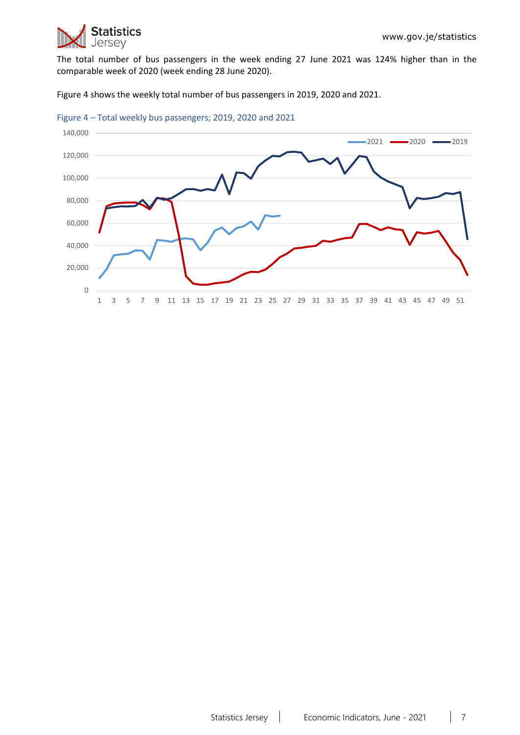

The total number of bus passengers in the week ending 27 June 2021 was 124% higher than in the comparable week of 2020 (week ending 28 June 2020).

Figure 4 shows the weekly total number of bus passengers in 2019, 2020 and 2021.



Figure 4 – Total weekly bus passengers; 2019, 2020 and 2021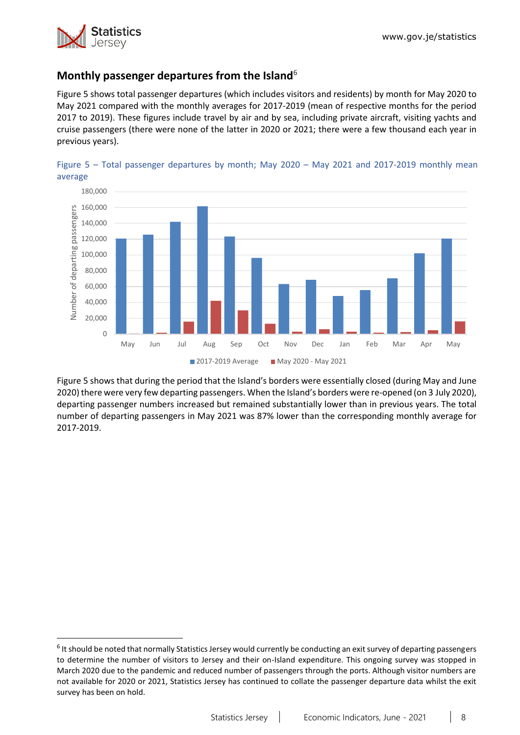

 $\overline{a}$ 

# <span id="page-7-0"></span>**Monthly passenger departures from the Island**<sup>6</sup>

Figure 5 shows total passenger departures (which includes visitors and residents) by month for May 2020 to May 2021 compared with the monthly averages for 2017-2019 (mean of respective months for the period 2017 to 2019). These figures include travel by air and by sea, including private aircraft, visiting yachts and cruise passengers (there were none of the latter in 2020 or 2021; there were a few thousand each year in previous years).





Figure 5 shows that during the period that the Island's borders were essentially closed (during May and June 2020) there were very few departing passengers. When the Island's borders were re-opened (on 3 July 2020), departing passenger numbers increased but remained substantially lower than in previous years. The total number of departing passengers in May 2021 was 87% lower than the corresponding monthly average for 2017-2019.

<sup>&</sup>lt;sup>6</sup> It should be noted that normally Statistics Jersey would currently be conducting an exit survey of departing passengers to determine the number of visitors to Jersey and their on-Island expenditure. This ongoing survey was stopped in March 2020 due to the pandemic and reduced number of passengers through the ports. Although visitor numbers are not available for 2020 or 2021, Statistics Jersey has continued to collate the passenger departure data whilst the exit survey has been on hold.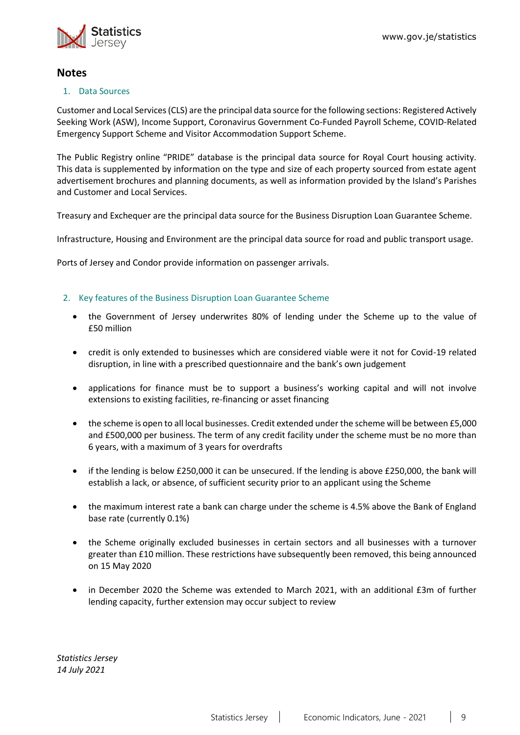

## **Notes**

#### 1. Data Sources

Customer and Local Services (CLS) are the principal data source for the following sections: Registered Actively Seeking Work (ASW), Income Support, Coronavirus Government Co-Funded Payroll Scheme, COVID-Related Emergency Support Scheme and Visitor Accommodation Support Scheme.

The Public Registry online "PRIDE" database is the principal data source for Royal Court housing activity. This data is supplemented by information on the type and size of each property sourced from estate agent advertisement brochures and planning documents, as well as information provided by the Island's Parishes and Customer and Local Services.

Treasury and Exchequer are the principal data source for the Business Disruption Loan Guarantee Scheme.

Infrastructure, Housing and Environment are the principal data source for road and public transport usage.

Ports of Jersey and Condor provide information on passenger arrivals.

#### <span id="page-8-0"></span>2. Key features of the Business Disruption Loan Guarantee Scheme

- the Government of Jersey underwrites 80% of lending under the Scheme up to the value of £50 million
- credit is only extended to businesses which are considered viable were it not for Covid-19 related disruption, in line with a prescribed questionnaire and the bank's own judgement
- applications for finance must be to support a business's working capital and will not involve extensions to existing facilities, re-financing or asset financing
- the scheme is open to all local businesses. Credit extended under the scheme will be between £5,000 and £500,000 per business. The term of any credit facility under the scheme must be no more than 6 years, with a maximum of 3 years for overdrafts
- if the lending is below £250,000 it can be unsecured. If the lending is above £250,000, the bank will establish a lack, or absence, of sufficient security prior to an applicant using the Scheme
- the maximum interest rate a bank can charge under the scheme is 4.5% above the Bank of England base rate (currently 0.1%)
- the Scheme originally excluded businesses in certain sectors and all businesses with a turnover greater than £10 million. These restrictions have subsequently been removed, this being announced on 15 May 2020
- in December 2020 the Scheme was extended to March 2021, with an additional £3m of further lending capacity, further extension may occur subject to review

*Statistics Jersey 14 July 2021*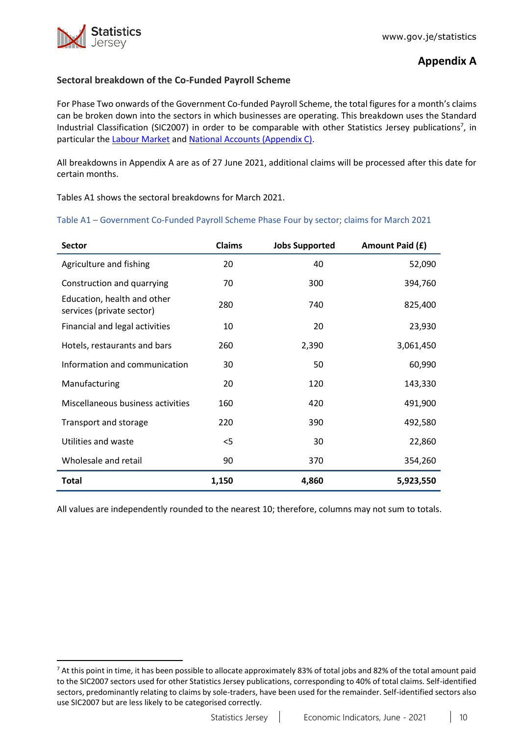$\ddot{\phantom{a}}$ 

# **Appendix A**

### <span id="page-9-0"></span>**Sectoral breakdown of the Co-Funded Payroll Scheme**

For Phase Two onwards of the Government Co-funded Payroll Scheme, the total figures for a month's claims can be broken down into the sectors in which businesses are operating. This breakdown uses the Standard Industrial Classification (SIC2007) in order to be comparable with other Statistics Jersey publications<sup>7</sup>, in particular the [Labour Market](https://www.gov.je/Government/JerseyInFigures/EmploymentEarnings/Pages/LabourMarket.aspx) and [National Accounts \(Appendix C\).](https://www.gov.je/SiteCollectionDocuments/Government%20and%20administration/R%20GVA%20and%20GDP%202018%2020191002%20SJ.pdf)

All breakdowns in Appendix A are as of 27 June 2021, additional claims will be processed after this date for certain months.

Tables A1 shows the sectoral breakdowns for March 2021.

Table A1 – Government Co-Funded Payroll Scheme Phase Four by sector; claims for March 2021

| <b>Sector</b>                                            | <b>Claims</b> | <b>Jobs Supported</b> | Amount Paid (£) |
|----------------------------------------------------------|---------------|-----------------------|-----------------|
| Agriculture and fishing                                  | 20            | 40                    | 52,090          |
| Construction and quarrying                               | 70            | 300                   | 394,760         |
| Education, health and other<br>services (private sector) | 280           | 740                   | 825,400         |
| Financial and legal activities                           | 10            | 20                    | 23,930          |
| Hotels, restaurants and bars                             | 260           | 2,390                 | 3,061,450       |
| Information and communication                            | 30            | 50                    | 60,990          |
| Manufacturing                                            | 20            | 120                   | 143,330         |
| Miscellaneous business activities                        | 160           | 420                   | 491,900         |
| Transport and storage                                    | 220           | 390                   | 492,580         |
| Utilities and waste                                      | $<$ 5         | 30                    | 22,860          |
| Wholesale and retail                                     | 90            | 370                   | 354,260         |
| <b>Total</b>                                             | 1,150         | 4,860                 | 5,923,550       |

All values are independently rounded to the nearest 10; therefore, columns may not sum to totals.

<sup>&</sup>lt;sup>7</sup> At this point in time, it has been possible to allocate approximately 83% of total jobs and 82% of the total amount paid to the SIC2007 sectors used for other Statistics Jersey publications, corresponding to 40% of total claims. Self-identified sectors, predominantly relating to claims by sole-traders, have been used for the remainder. Self-identified sectors also use SIC2007 but are less likely to be categorised correctly.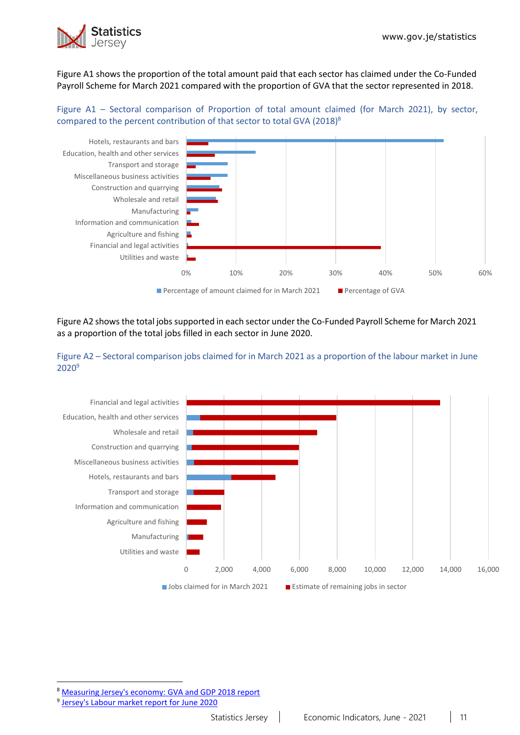

Figure A1 shows the proportion of the total amount paid that each sector has claimed under the Co-Funded Payroll Scheme for March 2021 compared with the proportion of GVA that the sector represented in 2018.

#### Figure A1 – Sectoral comparison of Proportion of total amount claimed (for March 2021), by sector, compared to the percent contribution of that sector to total GVA (2018)<sup>8</sup>



Figure A2 shows the total jobs supported in each sector under the Co-Funded Payroll Scheme for March 2021 as a proportion of the total jobs filled in each sector in June 2020.





8 [Measuring Jersey's economy: GVA and GDP 2018 report](https://www.gov.je/SiteCollectionDocuments/Government%20and%20administration/R%20GVA%20and%20GDP%202018%2020191002%20SJ.pdf)

 $\ddot{\phantom{a}}$ 

<sup>&</sup>lt;sup>9</sup> [Jersey's Labour market report for June 2020](https://www.gov.je/SiteCollectionDocuments/Government%20and%20administration/R%20Jersey%20Labour%20Market%20Jun%2020%2020201105%20SJ.pdf)